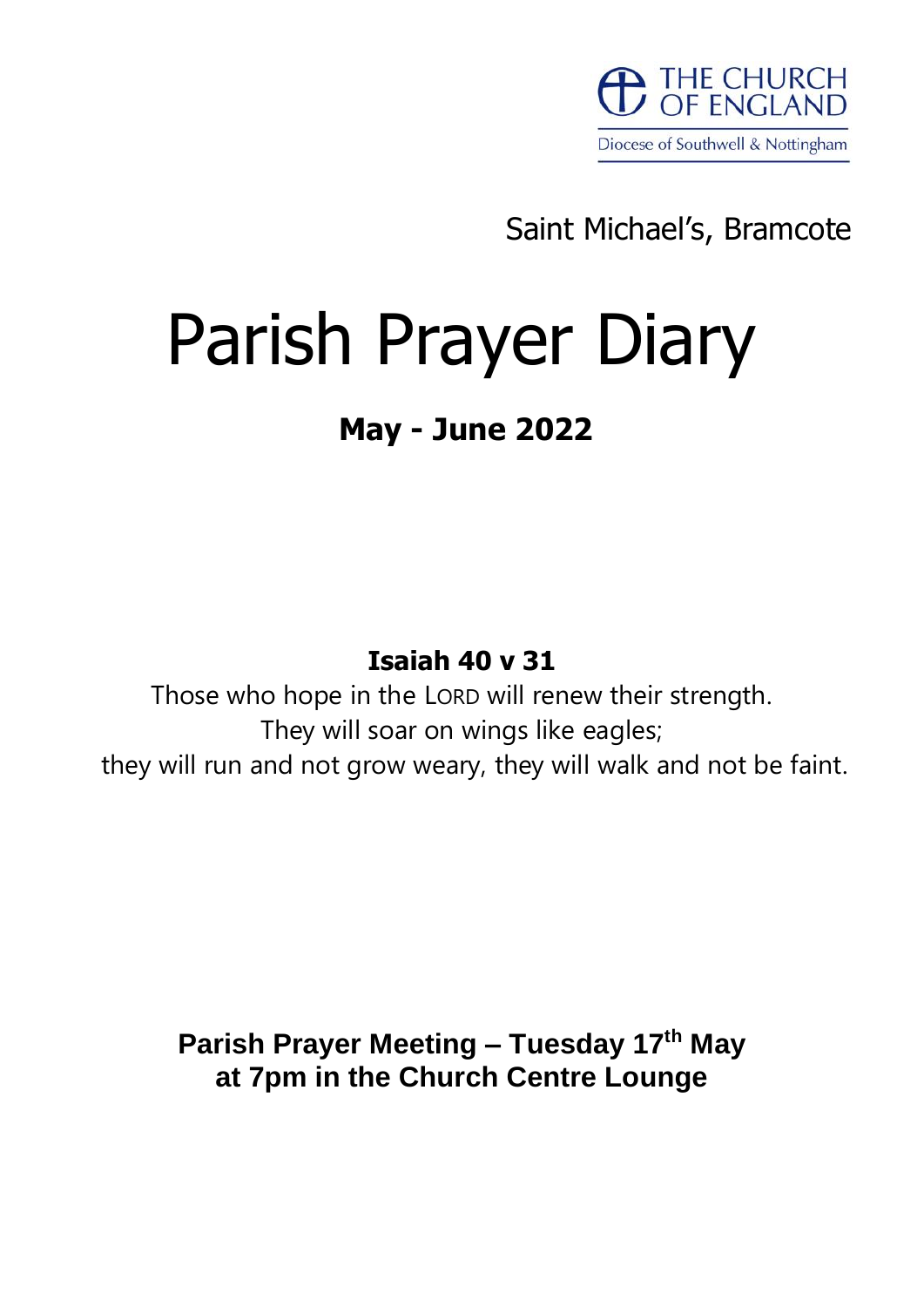

Saint Michael's, Bramcote

# Parish Prayer Diary

# **May - June 2022**

# **Isaiah 40 v 31**

Those who hope in the LORD will renew their strength. They will soar on wings like eagles; they will run and not grow weary, they will walk and not be faint.

> **Parish Prayer Meeting – Tuesday 17th May at 7pm in the Church Centre Lounge**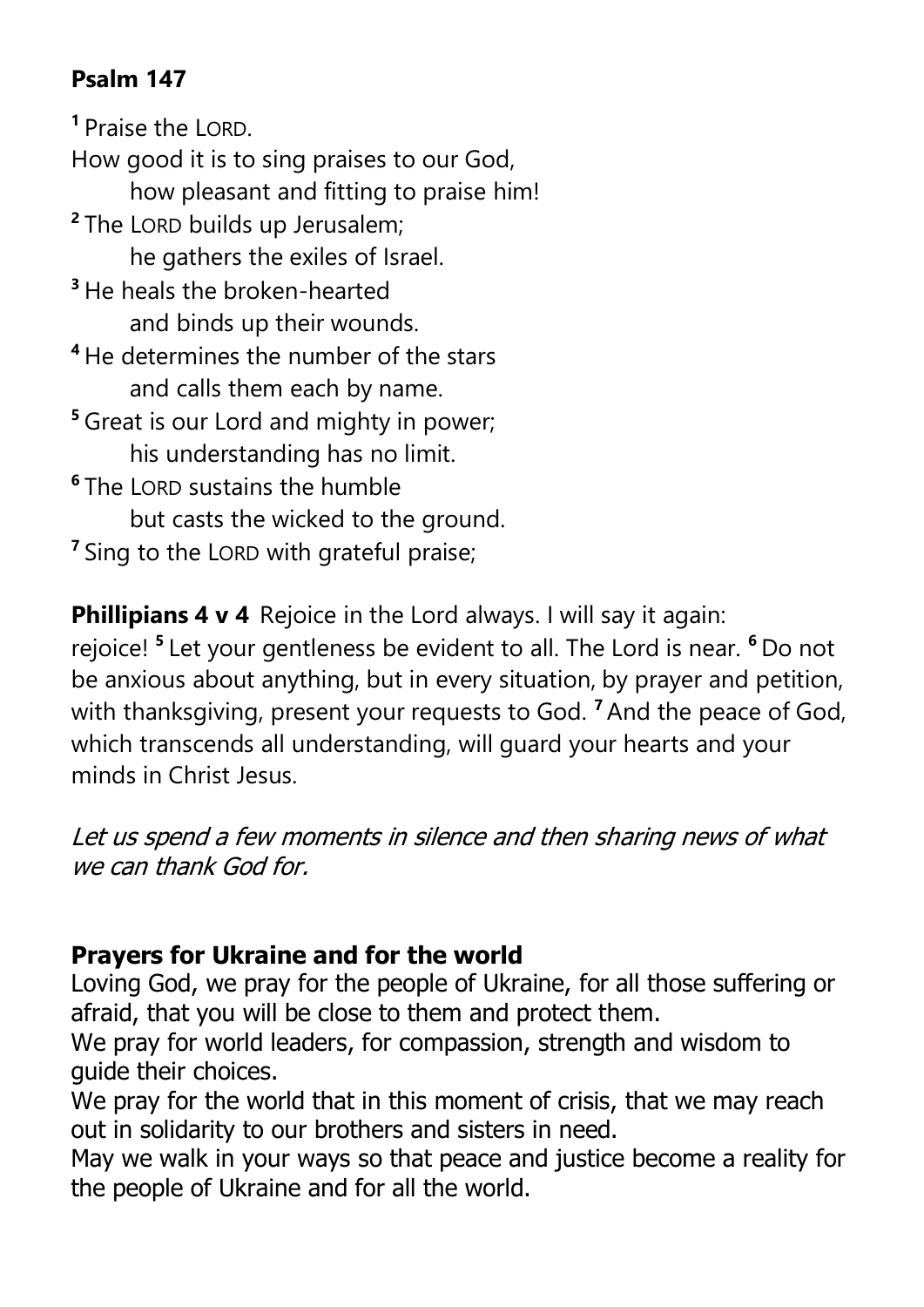# **Psalm 147**

**<sup>1</sup>** Praise the LORD.

How good it is to sing praises to our God, how pleasant and fitting to praise him! **2** The LORD builds up Jerusalem; he gathers the exiles of Israel. **<sup>3</sup>** He heals the broken-hearted and binds up their wounds. **<sup>4</sup>** He determines the number of the stars and calls them each by name. **<sup>5</sup>** Great is our Lord and mighty in power; his understanding has no limit. **6** The LORD sustains the humble but casts the wicked to the ground. <sup>7</sup> Sing to the LORD with grateful praise;

**Phillipians 4 v 4** Rejoice in the Lord always. I will say it again: rejoice! **<sup>5</sup>** Let your gentleness be evident to all. The Lord is near. **<sup>6</sup>** Do not be anxious about anything, but in every situation, by prayer and petition, with thanksgiving, present your requests to God. **<sup>7</sup>**And the peace of God, which transcends all understanding, will guard your hearts and your minds in Christ Jesus.

Let us spend a few moments in silence and then sharing news of what we can thank God for.

#### **Prayers for Ukraine and for the world**

Loving God, we pray for the people of Ukraine, for all those suffering or afraid, that you will be close to them and protect them.

We pray for world leaders, for compassion, strength and wisdom to guide their choices.

We pray for the world that in this moment of crisis, that we may reach out in solidarity to our brothers and sisters in need.

May we walk in your ways so that peace and justice become a reality for the people of Ukraine and for all the world.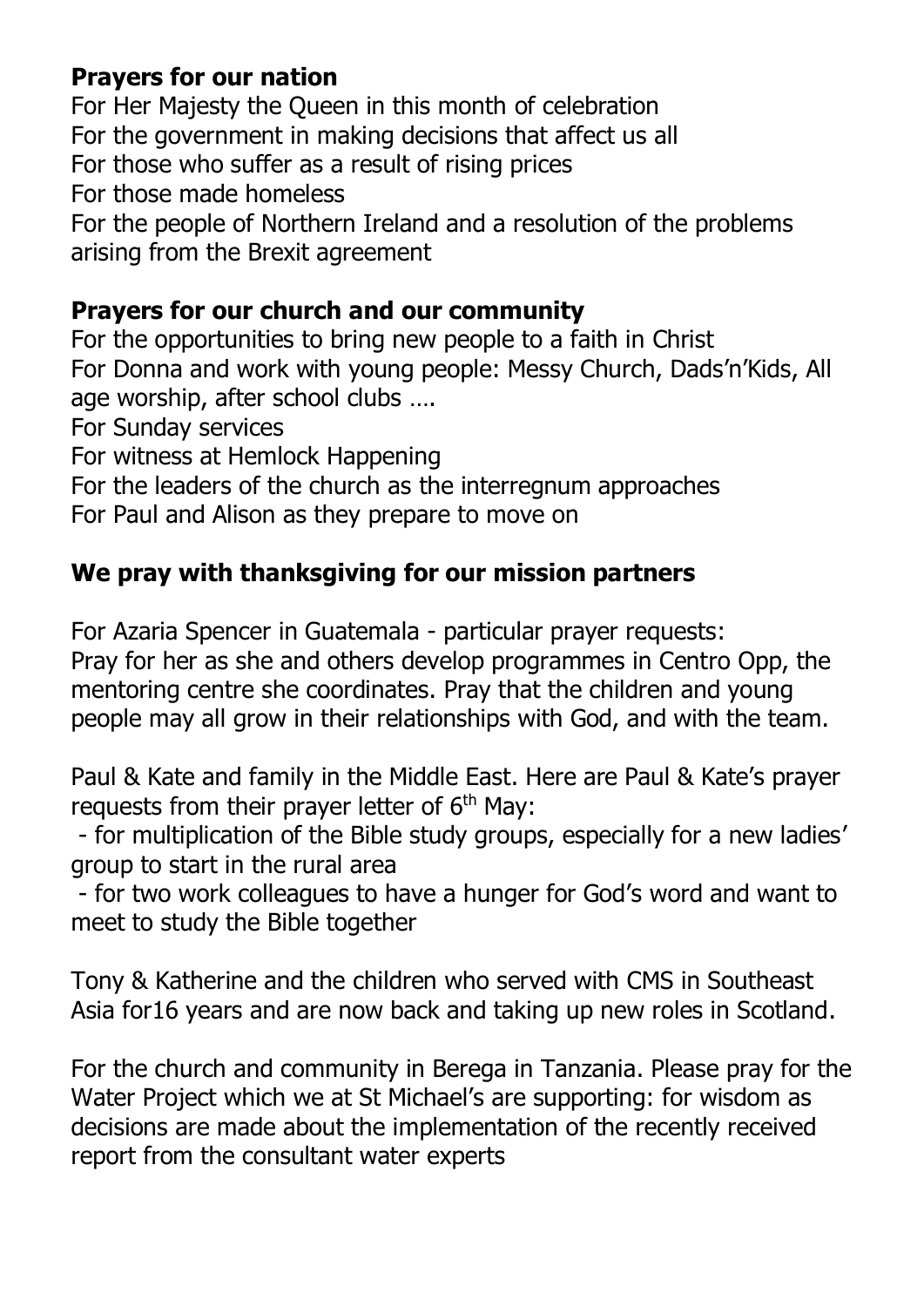## **Prayers for our nation**

For Her Majesty the Queen in this month of celebration For the government in making decisions that affect us all For those who suffer as a result of rising prices For those made homeless For the people of Northern Ireland and a resolution of the problems arising from the Brexit agreement

## **Prayers for our church and our community**

For the opportunities to bring new people to a faith in Christ For Donna and work with young people: Messy Church, Dads'n'Kids, All age worship, after school clubs ….

For Sunday services

For witness at Hemlock Happening

For the leaders of the church as the interregnum approaches

For Paul and Alison as they prepare to move on

## **We pray with thanksgiving for our mission partners**

For Azaria Spencer in Guatemala - particular prayer requests:

Pray for her as she and others develop programmes in Centro Opp, the mentoring centre she coordinates. Pray that the children and young people may all grow in their relationships with God, and with the team.

Paul & Kate and family in the Middle East. Here are Paul & Kate's prayer requests from their prayer letter of 6<sup>th</sup> May:

- for multiplication of the Bible study groups, especially for a new ladies' group to start in the rural area

- for two work colleagues to have a hunger for God's word and want to meet to study the Bible together

Tony & Katherine and the children who served with CMS in Southeast Asia for16 years and are now back and taking up new roles in Scotland.

For the church and community in Berega in Tanzania. Please pray for the Water Project which we at St Michael's are supporting: for wisdom as decisions are made about the implementation of the recently received report from the consultant water experts